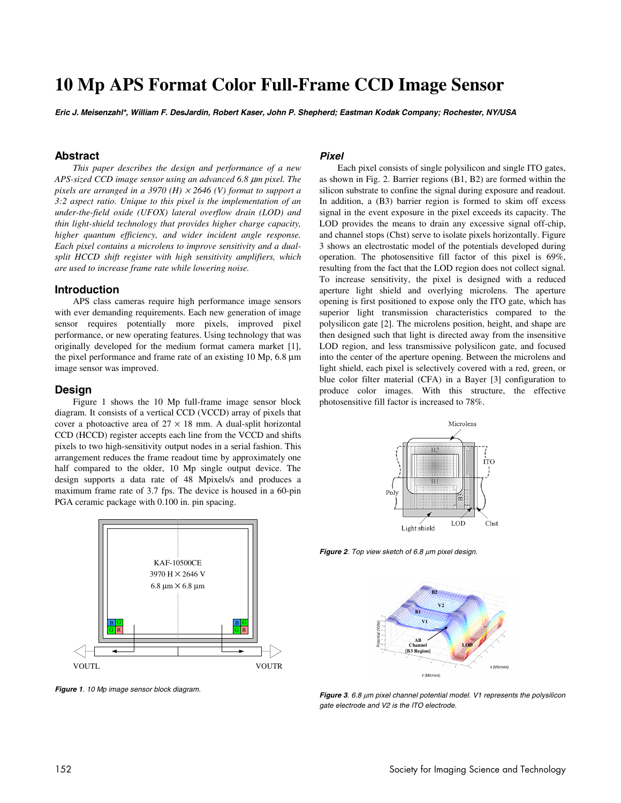# **10 Mp APS Format Color Full-Frame CCD Image Sensor**

**Eric J. Meisenzahl\*, William F. DesJardin, Robert Kaser, John P. Shepherd; Eastman Kodak Company; Rochester, NY/USA** 

## **Abstract**

*This paper describes the design and performance of a new APS-sized CCD image sensor using an advanced 6.8* µ*m pixel. The pixels are arranged in a 3970 (H)* × *2646 (V) format to support a 3:2 aspect ratio. Unique to this pixel is the implementation of an under-the-field oxide (UFOX) lateral overflow drain (LOD) and thin light-shield technology that provides higher charge capacity, higher quantum efficiency, and wider incident angle response. Each pixel contains a microlens to improve sensitivity and a dualsplit HCCD shift register with high sensitivity amplifiers, which are used to increase frame rate while lowering noise.* 

## **Introduction**

APS class cameras require high performance image sensors with ever demanding requirements. Each new generation of image sensor requires potentially more pixels, improved pixel performance, or new operating features. Using technology that was originally developed for the medium format camera market [1], the pixel performance and frame rate of an existing 10 Mp, 6.8 µm image sensor was improved.

#### **Design**

Figure 1 shows the 10 Mp full-frame image sensor block diagram. It consists of a vertical CCD (VCCD) array of pixels that cover a photoactive area of  $27 \times 18$  mm. A dual-split horizontal CCD (HCCD) register accepts each line from the VCCD and shifts pixels to two high-sensitivity output nodes in a serial fashion. This arrangement reduces the frame readout time by approximately one half compared to the older, 10 Mp single output device. The design supports a data rate of 48 Mpixels/s and produces a maximum frame rate of 3.7 fps. The device is housed in a 60-pin PGA ceramic package with 0.100 in. pin spacing.



**Figure 1**. 10 Mp image sensor block diagram.

## **Pixel**

Each pixel consists of single polysilicon and single ITO gates, as shown in Fig. 2. Barrier regions (B1, B2) are formed within the silicon substrate to confine the signal during exposure and readout. In addition, a (B3) barrier region is formed to skim off excess signal in the event exposure in the pixel exceeds its capacity. The LOD provides the means to drain any excessive signal off-chip, and channel stops (Chst) serve to isolate pixels horizontally. Figure 3 shows an electrostatic model of the potentials developed during operation. The photosensitive fill factor of this pixel is 69%, resulting from the fact that the LOD region does not collect signal. To increase sensitivity, the pixel is designed with a reduced aperture light shield and overlying microlens. The aperture opening is first positioned to expose only the ITO gate, which has superior light transmission characteristics compared to the polysilicon gate [2]. The microlens position, height, and shape are then designed such that light is directed away from the insensitive LOD region, and less transmissive polysilicon gate, and focused into the center of the aperture opening. Between the microlens and light shield, each pixel is selectively covered with a red, green, or blue color filter material (CFA) in a Bayer [3] configuration to produce color images. With this structure, the effective photosensitive fill factor is increased to 78%.



**Figure 2**. Top view sketch of 6.8 µm pixel design.



**Figure 3**. 6.8 µm pixel channel potential model. V1 represents the polysilicon gate electrode and V2 is the ITO electrode.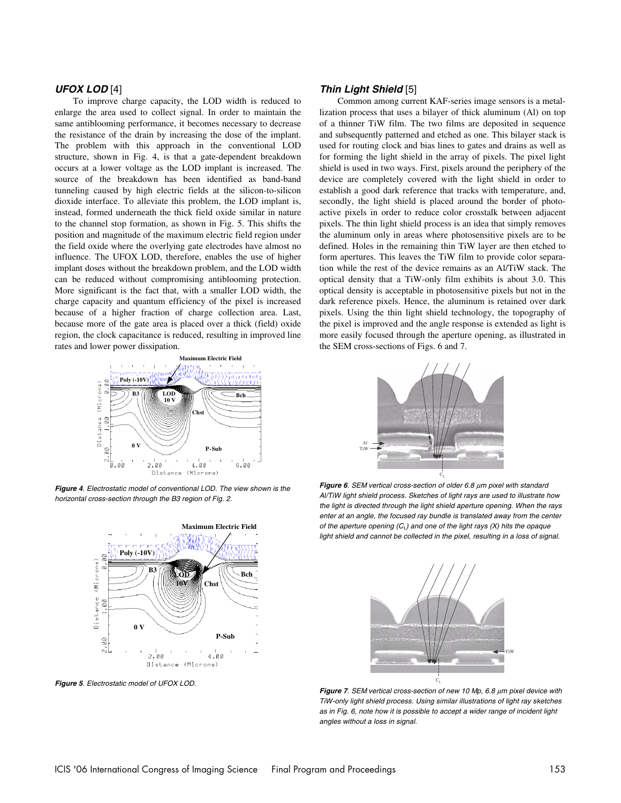# **UFOX LOD** [4]

To improve charge capacity, the LOD width is reduced to enlarge the area used to collect signal. In order to maintain the same antiblooming performance, it becomes necessary to decrease the resistance of the drain by increasing the dose of the implant. The problem with this approach in the conventional LOD structure, shown in Fig. 4, is that a gate-dependent breakdown occurs at a lower voltage as the LOD implant is increased. The source of the breakdown has been identified as band-band tunneling caused by high electric fields at the silicon-to-silicon dioxide interface. To alleviate this problem, the LOD implant is, instead, formed underneath the thick field oxide similar in nature to the channel stop formation, as shown in Fig. 5. This shifts the position and magnitude of the maximum electric field region under the field oxide where the overlying gate electrodes have almost no influence. The UFOX LOD, therefore, enables the use of higher implant doses without the breakdown problem, and the LOD width can be reduced without compromising antiblooming protection. More significant is the fact that, with a smaller LOD width, the charge capacity and quantum efficiency of the pixel is increased because of a higher fraction of charge collection area. Last, because more of the gate area is placed over a thick (field) oxide region, the clock capacitance is reduced, resulting in improved line rates and lower power dissipation.



**Figure 4**. Electrostatic model of conventional LOD. The view shown is the horizontal cross-section through the B3 region of Fig. 2.



**Figure 5**. Electrostatic model of UFOX LOD.

## **Thin Light Shield** [5]

Common among current KAF-series image sensors is a metallization process that uses a bilayer of thick aluminum (Al) on top of a thinner TiW film. The two films are deposited in sequence and subsequently patterned and etched as one. This bilayer stack is used for routing clock and bias lines to gates and drains as well as for forming the light shield in the array of pixels. The pixel light shield is used in two ways. First, pixels around the periphery of the device are completely covered with the light shield in order to establish a good dark reference that tracks with temperature, and, secondly, the light shield is placed around the border of photoactive pixels in order to reduce color crosstalk between adjacent pixels. The thin light shield process is an idea that simply removes the aluminum only in areas where photosensitive pixels are to be defined. Holes in the remaining thin TiW layer are then etched to form apertures. This leaves the TiW film to provide color separation while the rest of the device remains as an Al/TiW stack. The optical density that a TiW-only film exhibits is about 3.0. This optical density is acceptable in photosensitive pixels but not in the dark reference pixels. Hence, the aluminum is retained over dark pixels. Using the thin light shield technology, the topography of the pixel is improved and the angle response is extended as light is more easily focused through the aperture opening, as illustrated in the SEM cross-sections of Figs. 6 and 7.



**Figure 6**. SEM vertical cross-section of older 6.8 µm pixel with standard Al/TiW light shield process. Sketches of light rays are used to illustrate how the light is directed through the light shield aperture opening. When the rays enter at an angle, the focused ray bundle is translated away from the center of the aperture opening  $(C_L)$  and one of the light rays (X) hits the opaque light shield and cannot be collected in the pixel, resulting in a loss of signal.



**Figure 7**. SEM vertical cross-section of new 10 Mp, 6.8 µm pixel device with TiW-only light shield process. Using similar illustrations of light ray sketches as in Fig. 6, note how it is possible to accept a wider range of incident light angles without a loss in signal.